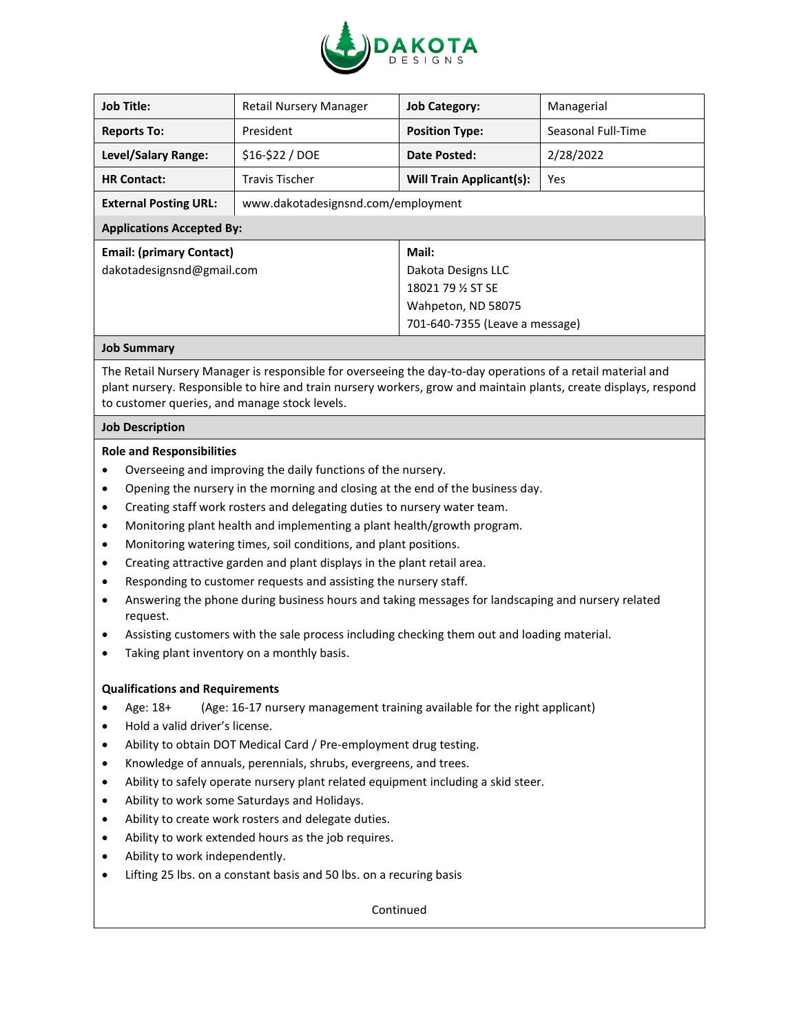

| <b>Job Title:</b>                | <b>Retail Nursery Manager</b>      | <b>Job Category:</b>            | Managerial         |
|----------------------------------|------------------------------------|---------------------------------|--------------------|
| <b>Reports To:</b>               | President                          | <b>Position Type:</b>           | Seasonal Full-Time |
| Level/Salary Range:              | \$16-\$22 / DOE                    | Date Posted:                    | 2/28/2022          |
| <b>HR Contact:</b>               | Travis Tischer                     | <b>Will Train Applicant(s):</b> | Yes                |
| <b>External Posting URL:</b>     | www.dakotadesignsnd.com/employment |                                 |                    |
| <b>Applications Accepted By:</b> |                                    |                                 |                    |
| <b>Email: (primary Contact)</b>  |                                    | Mail:                           |                    |
| dakotadesignsnd@gmail.com        |                                    | Dakota Designs LLC              |                    |
|                                  |                                    | 18021 79 % ST SE                |                    |
|                                  |                                    | Wahpeton, ND 58075              |                    |
|                                  |                                    | 701-640-7355 (Leave a message)  |                    |
| Joh Cumman                       |                                    |                                 |                    |

# **Job Summary**

The Retail Nursery Manager is responsible for overseeing the day-to-day operations of a retail material and plant nursery. Responsible to hire and train nursery workers, grow and maintain plants, create displays, respond to customer queries, and manage stock levels.

#### **Job Description**

#### **Role and Responsibilities**

- Overseeing and improving the daily functions of the nursery.
- Opening the nursery in the morning and closing at the end of the business day.
- Creating staff work rosters and delegating duties to nursery water team.
- Monitoring plant health and implementing a plant health/growth program.
- Monitoring watering times, soil conditions, and plant positions.
- Creating attractive garden and plant displays in the plant retail area.
- Responding to customer requests and assisting the nursery staff.
- Answering the phone during business hours and taking messages for landscaping and nursery related request.
- Assisting customers with the sale process including checking them out and loading material.
- Taking plant inventory on a monthly basis.

### **Qualifications and Requirements**

- Age: 18+ (Age: 16-17 nursery management training available for the right applicant)
- Hold a valid driver's license.
- Ability to obtain DOT Medical Card / Pre-employment drug testing.
- Knowledge of annuals, perennials, shrubs, evergreens, and trees.
- Ability to safely operate nursery plant related equipment including a skid steer.
- Ability to work some Saturdays and Holidays.
- Ability to create work rosters and delegate duties.
- Ability to work extended hours as the job requires.
- Ability to work independently.
- Lifting 25 lbs. on a constant basis and 50 lbs. on a recuring basis

Continued